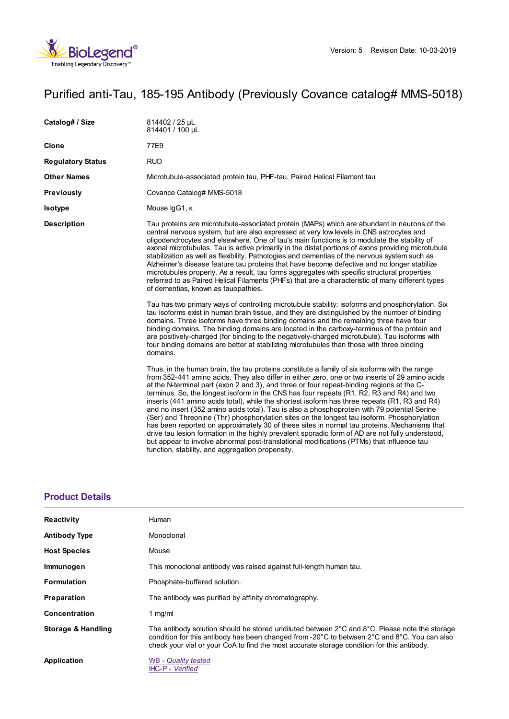

# Purified anti-Tau, 185-195 Antibody (Previously Covance catalog# MMS-5018)

| 814402 / 25 µL<br>814401 / 100 µL                                                                                                                                                                                                                                                                                                                                                                                                                                                                                                                                                                                                                                                                                                                                                                                                                                                                                                                                                                                                                                                                                                                                                                                                                                                                                                                                                                                                            |
|----------------------------------------------------------------------------------------------------------------------------------------------------------------------------------------------------------------------------------------------------------------------------------------------------------------------------------------------------------------------------------------------------------------------------------------------------------------------------------------------------------------------------------------------------------------------------------------------------------------------------------------------------------------------------------------------------------------------------------------------------------------------------------------------------------------------------------------------------------------------------------------------------------------------------------------------------------------------------------------------------------------------------------------------------------------------------------------------------------------------------------------------------------------------------------------------------------------------------------------------------------------------------------------------------------------------------------------------------------------------------------------------------------------------------------------------|
| 77E9                                                                                                                                                                                                                                                                                                                                                                                                                                                                                                                                                                                                                                                                                                                                                                                                                                                                                                                                                                                                                                                                                                                                                                                                                                                                                                                                                                                                                                         |
| <b>RUO</b>                                                                                                                                                                                                                                                                                                                                                                                                                                                                                                                                                                                                                                                                                                                                                                                                                                                                                                                                                                                                                                                                                                                                                                                                                                                                                                                                                                                                                                   |
| Microtubule-associated protein tau, PHF-tau, Paired Helical Filament tau                                                                                                                                                                                                                                                                                                                                                                                                                                                                                                                                                                                                                                                                                                                                                                                                                                                                                                                                                                                                                                                                                                                                                                                                                                                                                                                                                                     |
| Covance Catalog# MMS-5018                                                                                                                                                                                                                                                                                                                                                                                                                                                                                                                                                                                                                                                                                                                                                                                                                                                                                                                                                                                                                                                                                                                                                                                                                                                                                                                                                                                                                    |
| Mouse IgG1, K                                                                                                                                                                                                                                                                                                                                                                                                                                                                                                                                                                                                                                                                                                                                                                                                                                                                                                                                                                                                                                                                                                                                                                                                                                                                                                                                                                                                                                |
| Tau proteins are microtubule-associated protein (MAPs) which are abundant in neurons of the<br>central nervous system, but are also expressed at very low levels in CNS astrocytes and<br>oligodendrocytes and elsewhere. One of tau's main functions is to modulate the stability of<br>axonal microtubules. Tau is active primarily in the distal portions of axons providing microtubule<br>stabilization as well as flexibility. Pathologies and dementias of the nervous system such as<br>Alzheimer's disease feature tau proteins that have become defective and no longer stabilize<br>microtubules properly. As a result, tau forms aggregates with specific structural properties<br>referred to as Paired Helical Filaments (PHFs) that are a characteristic of many different types<br>of dementias, known as tauopathies.<br>Tau has two primary ways of controlling microtubule stability: isoforms and phosphorylation. Six<br>tau isoforms exist in human brain tissue, and they are distinguished by the number of binding<br>domains. Three isoforms have three binding domains and the remaining three have four<br>binding domains. The binding domains are located in the carboxy-terminus of the protein and<br>are positively-charged (for binding to the negatively-charged microtubule). Tau isoforms with<br>four binding domains are better at stabilizing microtubules than those with three binding<br>domains. |
| Thus, in the human brain, the tau proteins constitute a family of six isoforms with the range<br>from 352-441 amino acids. They also differ in either zero, one or two inserts of 29 amino acids<br>at the N-terminal part (exon 2 and 3), and three or four repeat-binding regions at the C-<br>terminus. So, the longest isoform in the CNS has four repeats (R1, R2, R3 and R4) and two<br>inserts (441 amino acids total), while the shortest isoform has three repeats (R1, R3 and R4)<br>and no insert (352 amino acids total). Tau is also a phosphoprotein with 79 potential Serine<br>(Ser) and Threonine (Thr) phosphorylation sites on the longest tau isoform. Phosphorylation<br>has been reported on approximately 30 of these sites in normal tau proteins. Mechanisms that<br>drive tau lesion formation in the highly prevalent sporadic form of AD are not fully understood,<br>but appear to involve abnormal post-translational modifications (PTMs) that influence tau<br>function, stability, and aggregation propensity.                                                                                                                                                                                                                                                                                                                                                                                              |
|                                                                                                                                                                                                                                                                                                                                                                                                                                                                                                                                                                                                                                                                                                                                                                                                                                                                                                                                                                                                                                                                                                                                                                                                                                                                                                                                                                                                                                              |

### **[Product](https://www.biolegend.com/nl-nl/products/purified-anti-tau-185-195-antibody-10889?pdf=true&displayInline=true&leftRightMargin=15&topBottomMargin=15&filename=Purified anti-Tau, 185-195 Antibody.pdf#productDetails) Details**

| <b>Reactivity</b>    | Human                                                                                                                                                                                                                                                                                                                                         |
|----------------------|-----------------------------------------------------------------------------------------------------------------------------------------------------------------------------------------------------------------------------------------------------------------------------------------------------------------------------------------------|
| <b>Antibody Type</b> | Monoclonal                                                                                                                                                                                                                                                                                                                                    |
| <b>Host Species</b>  | Mouse                                                                                                                                                                                                                                                                                                                                         |
| Immunogen            | This monoclonal antibody was raised against full-length human tau.                                                                                                                                                                                                                                                                            |
| <b>Formulation</b>   | Phosphate-buffered solution.                                                                                                                                                                                                                                                                                                                  |
| <b>Preparation</b>   | The antibody was purified by affinity chromatography.                                                                                                                                                                                                                                                                                         |
| Concentration        | 1 $mg/ml$                                                                                                                                                                                                                                                                                                                                     |
| Storage & Handling   | The antibody solution should be stored undiluted between $2^{\circ}$ C and $8^{\circ}$ C. Please note the storage<br>condition for this antibody has been changed from -20 $\degree$ C to between 2 $\degree$ C and 8 $\degree$ C. You can also<br>check your vial or your CoA to find the most accurate storage condition for this antibody. |
| Application          | <b>WB</b> - Quality tested<br><b>IHC-P - Verified</b>                                                                                                                                                                                                                                                                                         |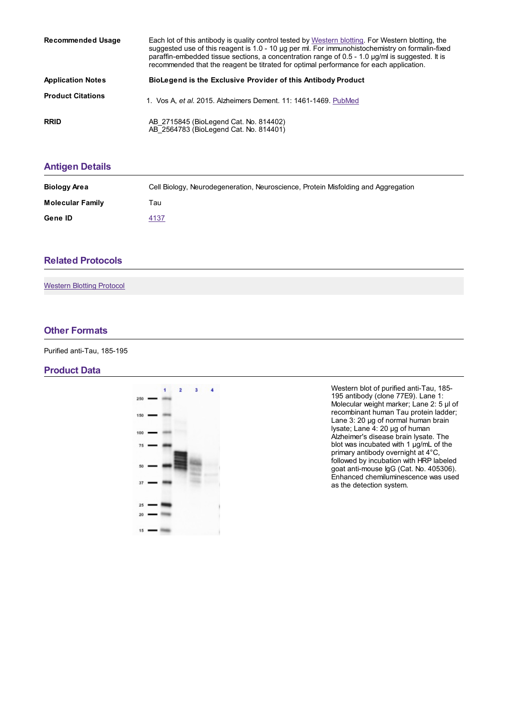| <b>Recommended Usage</b> | Each lot of this antibody is quality control tested by Western blotting. For Western blotting, the<br>suggested use of this reagent is 1.0 - 10 µg per ml. For immunohistochemistry on formalin-fixed<br>paraffin-embedded tissue sections, a concentration range of 0.5 - 1.0 µg/ml is suggested. It is<br>recommended that the reagent be titrated for optimal performance for each application. |
|--------------------------|----------------------------------------------------------------------------------------------------------------------------------------------------------------------------------------------------------------------------------------------------------------------------------------------------------------------------------------------------------------------------------------------------|
| <b>Application Notes</b> | BioLegend is the Exclusive Provider of this Antibody Product                                                                                                                                                                                                                                                                                                                                       |
| <b>Product Citations</b> | 1. Vos A, et al. 2015. Alzheimers Dement. 11: 1461-1469. PubMed                                                                                                                                                                                                                                                                                                                                    |
| <b>RRID</b>              | AB_2715845 (BioLegend Cat. No. 814402)<br>AB 2564783 (BioLegend Cat. No. 814401)                                                                                                                                                                                                                                                                                                                   |

## **[Antigen](https://www.biolegend.com/nl-nl/products/purified-anti-tau-185-195-antibody-10889?pdf=true&displayInline=true&leftRightMargin=15&topBottomMargin=15&filename=Purified anti-Tau, 185-195 Antibody.pdf#antigenDetails) Details**

| <b>Biology Area</b>     | Cell Biology, Neurodegeneration, Neuroscience, Protein Misfolding and Aggregation |
|-------------------------|-----------------------------------------------------------------------------------|
| <b>Molecular Family</b> | Tau                                                                               |
| Gene ID                 | 4137                                                                              |

## **Related [Protocols](https://www.biolegend.com/nl-nl/products/purified-anti-tau-185-195-antibody-10889?pdf=true&displayInline=true&leftRightMargin=15&topBottomMargin=15&filename=Purified anti-Tau, 185-195 Antibody.pdf#productRelatedProtocols)**

[Western](https://www.biolegend.com/protocols/western-blotting-protocol/4269/) Blotting Protocol

#### **Other [Formats](https://www.biolegend.com/nl-nl/products/purified-anti-tau-185-195-antibody-10889?pdf=true&displayInline=true&leftRightMargin=15&topBottomMargin=15&filename=Purified anti-Tau, 185-195 Antibody.pdf#productOtherFormats)**

Purified anti-Tau, 185-195

#### **Product Data**



Western blot of purified anti-Tau, 185- 195 antibody (clone 77E9). Lane 1: Molecular weight marker; Lane 2: 5 µl of recombinant human Tau protein ladder; Lane 3: 20 µg of normal human brain lysate; Lane 4: 20 µg of human Alzheimer's disease brain lysate. The blot was incubated with 1 µg/mL of the primary antibody overnight at 4°C, followed by incubation with HRP labeled goat anti-mouse IgG (Cat. No. 405306). Enhanced chemiluminescence was used as the detection system.